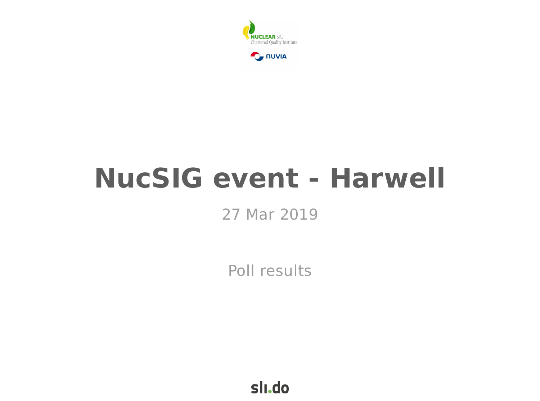



# **NucSIG event - Harwell**

### 27 Mar 2019

Poll results

slı.do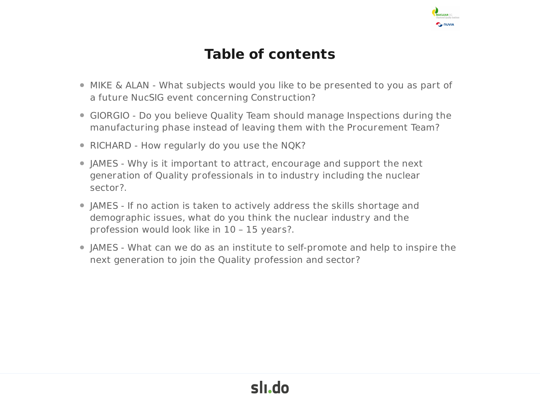

#### **Table of contents**

- MIKE & ALAN What subjects would you like to be presented to you as part of a future NucSIG event concerning Construction?
- GIORGIO Do you believe Quality Team should manage Inspections during the manufacturing phase instead of leaving them with the Procurement Team?
- RICHARD How regularly do you use the NQK?
- JAMES Why is it important to attract, encourage and support the next generation of Quality professionals in to industry including the nuclear sector?.
- JAMES If no action is taken to actively address the skills shortage and demographic issues, what do you think the nuclear industry and the profession would look like in 10 – 15 years?.
- JAMES What can we do as an institute to self-promote and help to inspire the next generation to join the Quality profession and sector?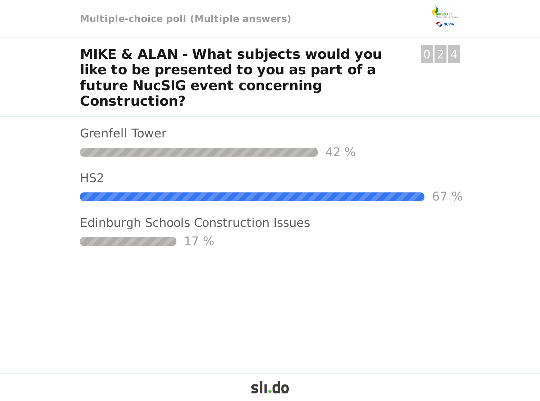

 $0|2|4$ 

**MIKE & ALAN - What subjects would you like to be presented to you as part of a future NucSIG event concerning Construction?**

Grenfell Tower

42 %

H<sub>S2</sub>

67 %

Edinburgh Schools Construction Issues

17 %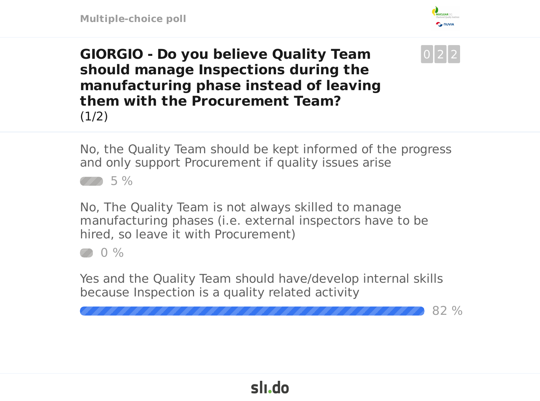

 $0|2|2$ 

**GIORGIO - Do you believe Quality Team should manage Inspections during the manufacturing phase instead of leaving them with the Procurement Team?**  $(1/2)$ 

No, the Quality Team should be kept informed of the progress and only support Procurement if quality issues arise

 $\mathbb{Z} \wedge 5\%$ 

No, The Quality Team is not always skilled to manage manufacturing phases (i.e. external inspectors have to be hired, so leave it with Procurement)

 $\oslash$  0 %

Yes and the Quality Team should have/develop internal skills because Inspection is a quality related activity

82 %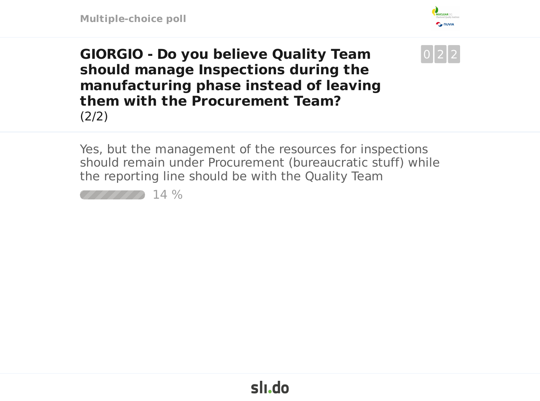

 $0|2|2$ 

**GIORGIO - Do you believe Quality Team should manage Inspections during the manufacturing phase instead of leaving them with the Procurement Team?** (2/2)

Yes, but the management of the resources for inspections should remain under Procurement (bureaucratic stuff) while the reporting line should be with the Quality Team

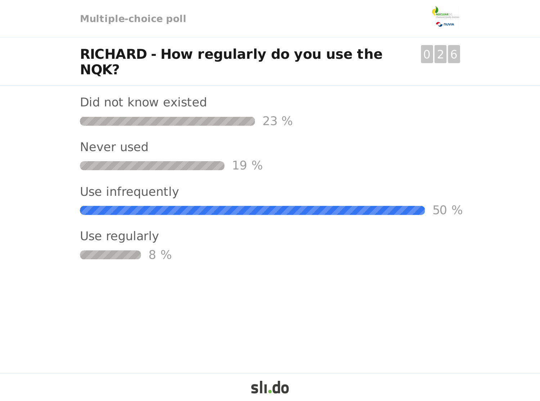

0 2 6

#### **RICHARD - How regularly do you use the NQK?**

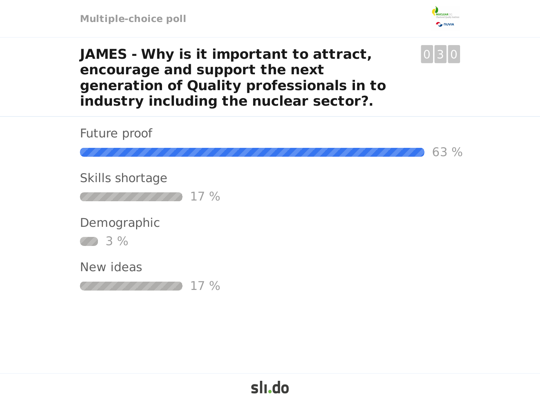**Multiple-choice poll**



0 3 0

**JAMES - Why is it important to attract, encourage and support the next generation of Quality professionals in to industry including the nuclear sector?.**

Future proof 63 % Skills shortage 17 % Demographic 3 % New ideas 17 %

## slı.do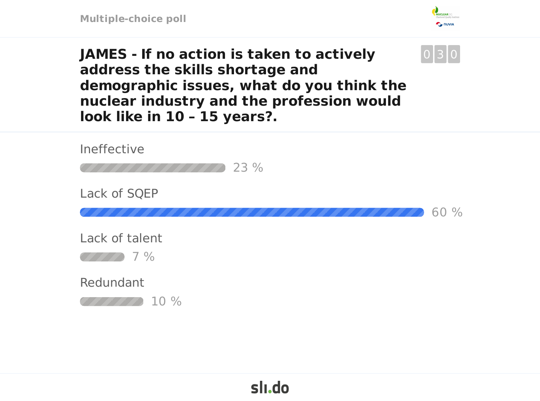

0 3 0

**JAMES - If no action is taken to actively address the skills shortage and demographic issues, what do you think the nuclear industry and the profession would look like in 10 – 15 years?.**